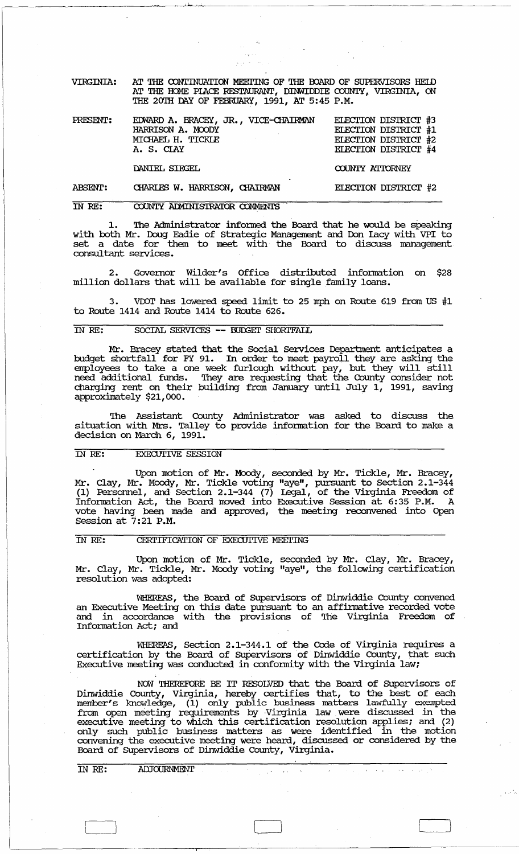AT THE CONTINUATION MEETING OF THE BOARD OF SUPERVISORS HEID AT THE HOME PIACE RESTAURANT, DIMWIDDIE COUNTY, VIRGINIA, ON **VIRGINIA:** THE 20TH DAY OF FEBRUARY, 1991, AT 5:45 P.M.

ELECTION DISTRICT #3 EDWARD A. BRACEY, JR., VICE-CHAIRMAN PRESENT: HARRISON A. MOODY ELECTION DISTRICT #1 MICHAEL H. TICKLE ELECTION DISTRICT #2 A. S. CIAY ELECTION DISTRICT #4

DANIEL SIEGEL

COUNTY ATTORNEY

ELECTION DISTRICT #2

أنخار الجواريف الفحار البرابي والترابي

**ABSENT:** CHARLES W. HARRISON, CHAIRMAN

## COUNTY ADMINISTRATOR COMMENTS IN RE:

The Administrator informed the Board that he would be speaking with both Mr. Doug Eadie of Strategic Management and Don Lacy with VPI to<br>set a date for them to meet with the Board to discuss management consultant services.

Governor Wilder's Office distributed information on \$28 2. million dollars that will be available for single family loans.

VDOT has lowered speed limit to 25 mph on Route 619 from US #1  $3.$ to Route 1414 and Route 1414 to Route 626.

## SOCIAL SERVICES -- BUDGET SHORTFALL IN RE:

Mr. Bracey stated that the Social Services Department anticipates a<br>budget shortfall for FY 91. In order to meet payroll they are asking the<br>employees to take a one week furlough without pay, but they will still<br>need addit

The Assistant County Administrator was asked to discuss the situation with Mrs. Talley to provide information for the Board to make a decision on March 6, 1991.

### **EXECUTIVE SESSION** TN RE:

Upon motion of Mr. Moody, seconded by Mr. Tickle, Mr. Bracey,<br>Mr. Clay, Mr. Moody, Mr. Tickle voting "aye", pursuant to Section 2.1-344<br>(1) Personnel, and Section 2.1-344 (7) Legal, of the Virginia Freedom of<br>Information A

# CERTIFICATION OF EXECUTIVE MEETING IN RE:

Upon motion of Mr. Tickle, seconded by Mr. Clay, Mr. Bracey, Mr. Clay, Mr. Tickle, Mr. Moody voting "aye", the following certification resolution was adopted:

WHEREAS, the Board of Supervisors of Dinwiddie County convened<br>an Executive Meeting on this date pursuant to an affirmative recorded vote and in accordance with the provisions of The Virginia Freedom of Information Act; and

WHEREAS, Section 2.1-344.1 of the Code of Virginia requires a certification by the Board of Supervisors of Dinwiddie County, that such Executive meeting was conducted in conformity with the Virginia law;

NOW THEREFORE BE IT RESOLVED that the Board of Supervisors of<br>Dinwiddie County, Virginia, hereby certifies that, to the best of each<br>member's knowledge, (1) only public business matters lawfully exempted<br>from open meeting

ADJOURNMENT IN RE: